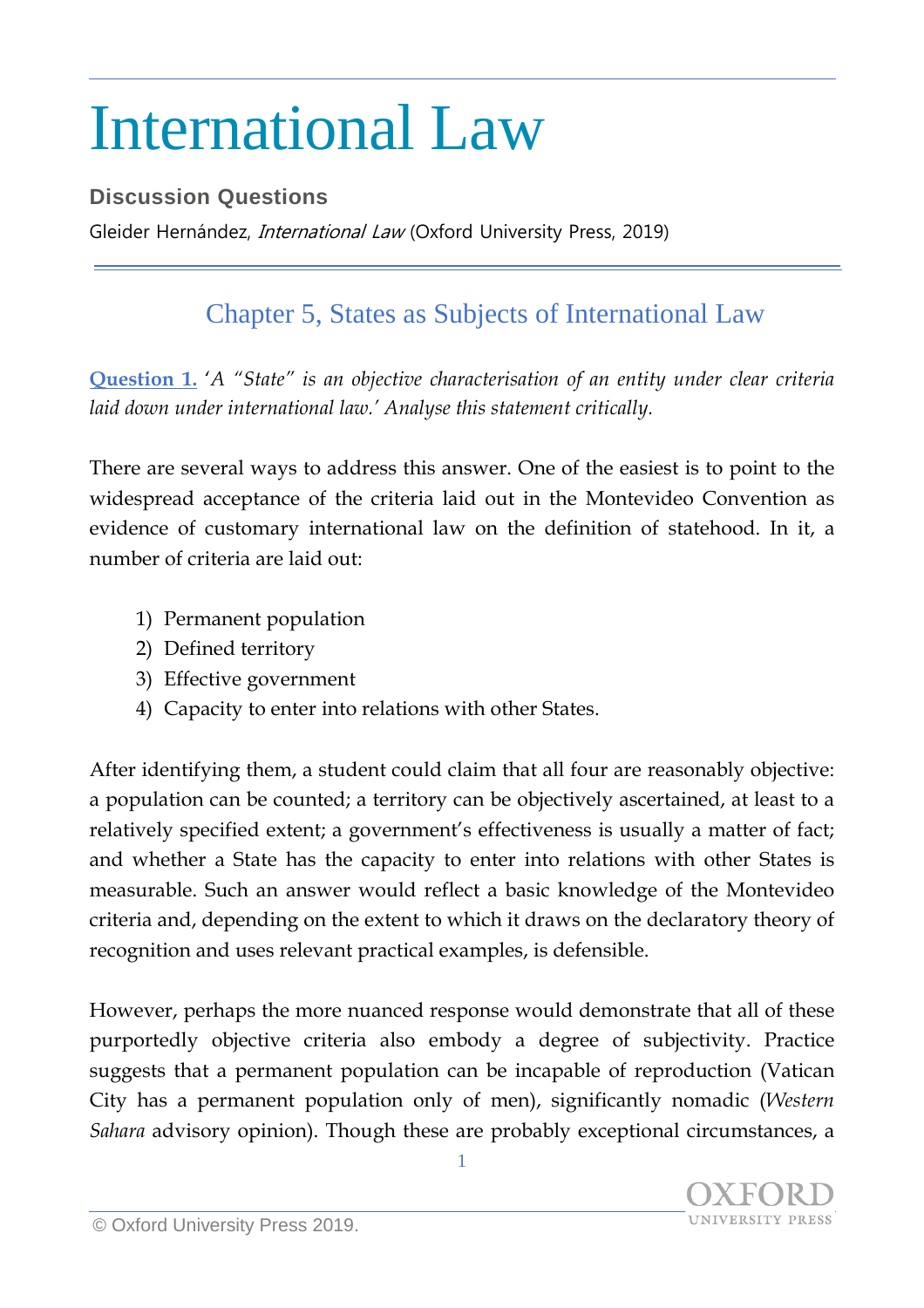## International Law

## **Discussion Questions**

Gleider Hernández, *International Law* (Oxford University Press, 2019)

## Chapter 5, States as Subjects of International Law

**Question 1.** '*A "State" is an objective characterisation of an entity under clear criteria laid down under international law.' Analyse this statement critically.*

There are several ways to address this answer. One of the easiest is to point to the widespread acceptance of the criteria laid out in the Montevideo Convention as evidence of customary international law on the definition of statehood. In it, a number of criteria are laid out:

- 1) Permanent population
- 2) Defined territory
- 3) Effective government
- 4) Capacity to enter into relations with other States.

After identifying them, a student could claim that all four are reasonably objective: a population can be counted; a territory can be objectively ascertained, at least to a relatively specified extent; a government's effectiveness is usually a matter of fact; and whether a State has the capacity to enter into relations with other States is measurable. Such an answer would reflect a basic knowledge of the Montevideo criteria and, depending on the extent to which it draws on the declaratory theory of recognition and uses relevant practical examples, is defensible.

However, perhaps the more nuanced response would demonstrate that all of these purportedly objective criteria also embody a degree of subjectivity. Practice suggests that a permanent population can be incapable of reproduction (Vatican City has a permanent population only of men), significantly nomadic (*Western Sahara* advisory opinion). Though these are probably exceptional circumstances, a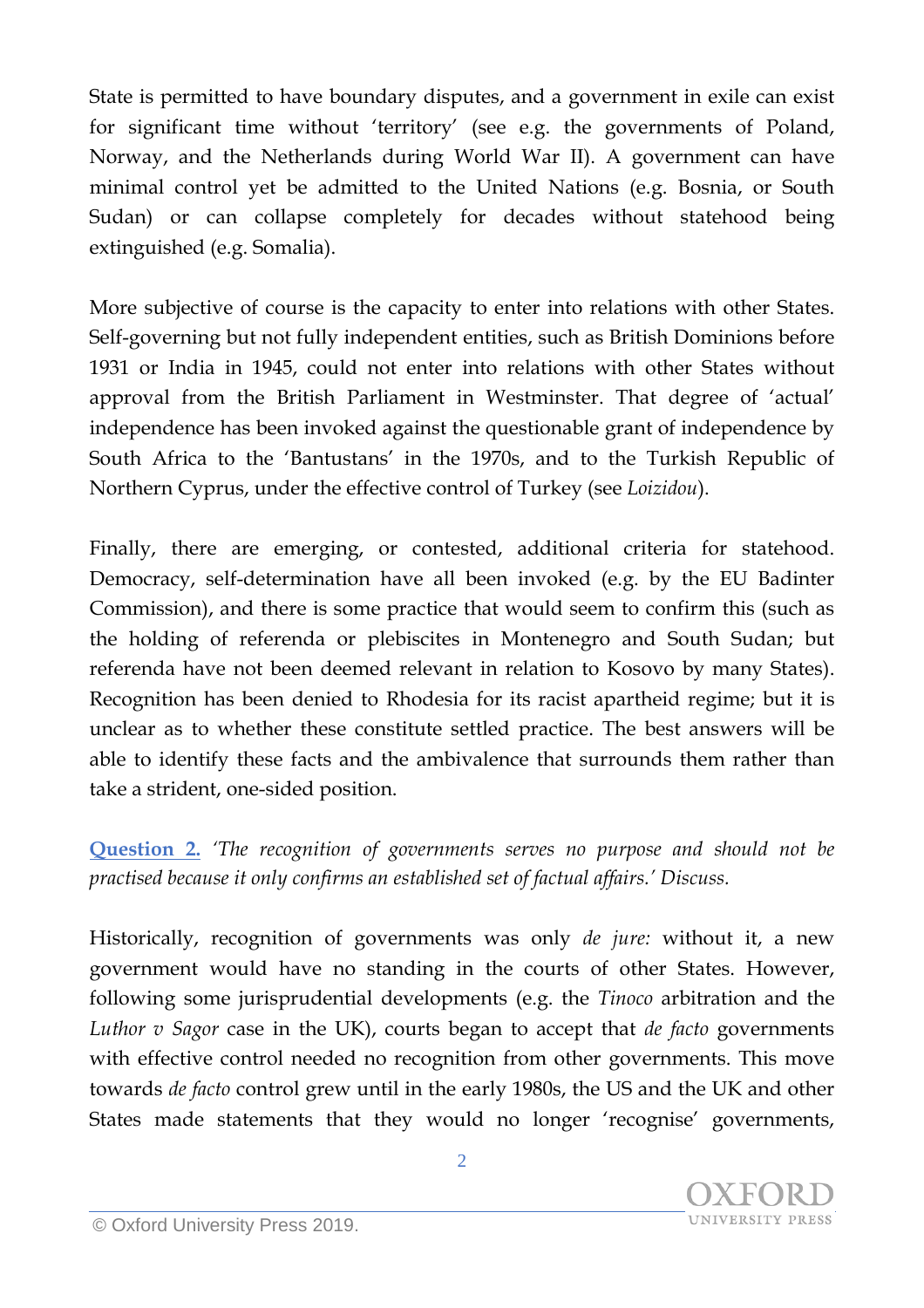State is permitted to have boundary disputes, and a government in exile can exist for significant time without 'territory' (see e.g. the governments of Poland, Norway, and the Netherlands during World War II). A government can have minimal control yet be admitted to the United Nations (e.g. Bosnia, or South Sudan) or can collapse completely for decades without statehood being extinguished (e.g. Somalia).

More subjective of course is the capacity to enter into relations with other States. Self-governing but not fully independent entities, such as British Dominions before 1931 or India in 1945, could not enter into relations with other States without approval from the British Parliament in Westminster. That degree of 'actual' independence has been invoked against the questionable grant of independence by South Africa to the 'Bantustans' in the 1970s, and to the Turkish Republic of Northern Cyprus, under the effective control of Turkey (see *Loizidou*).

Finally, there are emerging, or contested, additional criteria for statehood. Democracy, self-determination have all been invoked (e.g. by the EU Badinter Commission), and there is some practice that would seem to confirm this (such as the holding of referenda or plebiscites in Montenegro and South Sudan; but referenda have not been deemed relevant in relation to Kosovo by many States). Recognition has been denied to Rhodesia for its racist apartheid regime; but it is unclear as to whether these constitute settled practice. The best answers will be able to identify these facts and the ambivalence that surrounds them rather than take a strident, one-sided position.

**Question 2.** *'The recognition of governments serves no purpose and should not be practised because it only confirms an established set of factual affairs.' Discuss.*

Historically, recognition of governments was only *de jure:* without it, a new government would have no standing in the courts of other States. However, following some jurisprudential developments (e.g. the *Tinoco* arbitration and the *Luthor v Sagor* case in the UK), courts began to accept that *de facto* governments with effective control needed no recognition from other governments. This move towards *de facto* control grew until in the early 1980s, the US and the UK and other States made statements that they would no longer 'recognise' governments,